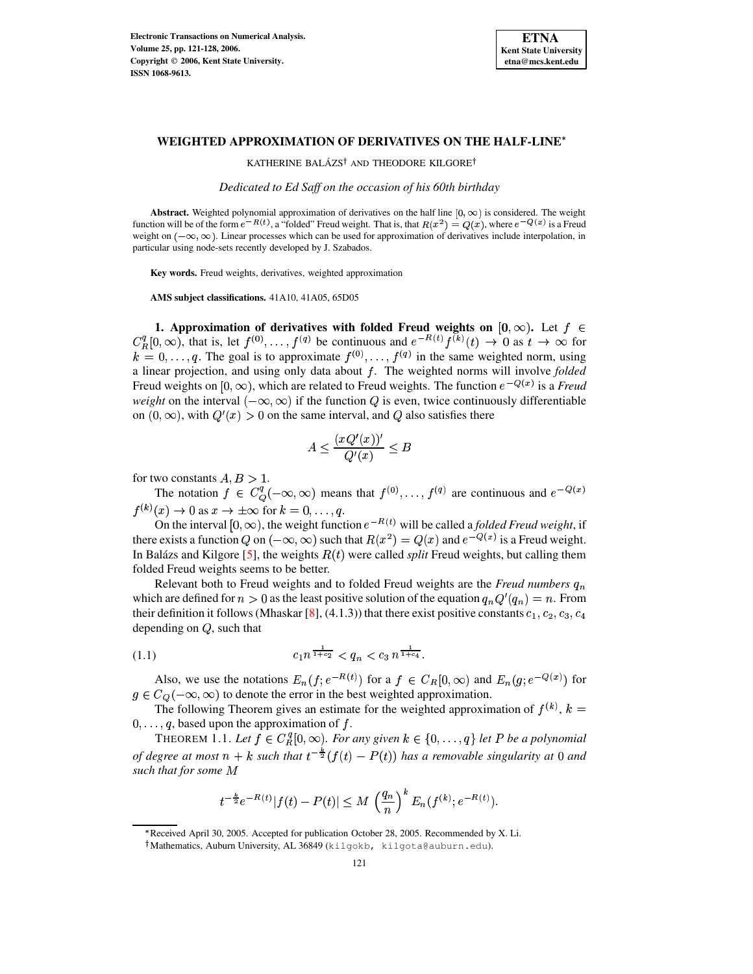

## **WEIGHTED APPROXIMATION OF DERIVATIVES ON THE HALF-LINE**

KATHERINE BALÁZS<sup>†</sup> AND THEODORE KILGORE<sup>†</sup>

*Dedicated to Ed Saff on the occasion of his 60th birthday*

**Abstract.** Weighted polynomial approximation of derivatives on the half line  $[0, \infty)$  is considered. The weight function will be of the form  $e^{-R(t)}$ , a "folded" Freud weight. That is, that  $R(x^2) = Q(x)$ , where  $e^{-Q(x)}$  is a Freud weight on  $(-\infty, \infty)$ . Linear processes which can be used for approximation of derivatives include interpolation, in particular using node-sets recently developed by J. Szabados.

**Key words.** Freud weights, derivatives, weighted approximation

**AMS subject classifications.** 41A10, 41A05, 65D05

**1. Approximation** of derivatives with folded Freud weights on  $[0, \infty)$ . Let  $f \in$  $C_R^q[0,\infty)$ , that is, let  $f^{(0)},\ldots,f^{(q)}$  be continuous and  $e^{-R(t)}f^{(k)}(t) \to 0$  as  $t \to \infty$  for  $k = 0, \ldots, q$ . The goal is to approximate  $f^{(0)}, \ldots, f^{(q)}$  in the same weighted norm, using a linear projection, and using only data about <sup>5</sup>. The weighted norms will involve *folded* Freud weights on  $[0, \infty)$ , which are related to Freud weights. The function  $e^{-Q(x)}$  is a Freud *weight* on the interval  $(-\infty, \infty)$  if the function Q is even, twice continuously differentiable on  $(0, \infty)$ , with  $Q'(x) > 0$  on the same interval, and Q also satisfies there

$$
A\leq \frac{(xQ'(x))'}{Q'(x)}\leq B
$$

for two constants  $A, B > 1$ . .

The notation  $f \in C^q_Q(-\infty,\infty)$  means that  $f^{(0)}, \ldots, f^{(q)}$  are continuous and  $e^{-Q(x)}$  $f^{(k)}(x) \to 0$  as  $x \to \pm \infty$  for  $k = 0, \ldots, q$ .

On the interval  $[0, \infty)$ , the weight function  $e^{-R(t)}$  will be called a *folded Freud weight*, if there exists a function Q on  $(-\infty, \infty)$  such that  $R(x^2) = Q(x)$  and  $e^{-Q(x)}$  is a Freud weight. In Balázs and Kilgore [\[5\]](#page-7-0), the weights  $R(t)$  were called *split* Freud weights, but calling them folded Freud weights seems to be better.

Relevant both to Freud weights and to folded Freud weights are the *Freud numbers*  $q_n$ which are defined for  $n > 0$  as the least positive solution of the equation  $q_n Q'(q_n) = n$ . From their definition it follows (Mhaskar [\[8\]](#page-7-1), (4.1.3)) that there exist positive constants  $c_1, c_2, c_3, c_4$ depending on  $Q$ , such that

<span id="page-0-1"></span>
$$
(1.1) \t\t\t c_1 n^{\frac{1}{1+c_2}} < q_n < c_3 n^{\frac{1}{1+c_4}}.
$$

Also, we use the notations  $E_n(f; e^{-R(t)})$  for a  $f \in C_R[0,\infty)$  and  $E_n(g; e^{-Q(x)})$  for  $g \in C_Q(-\infty, \infty)$  to denote the error in the best weighted approximation.

The following Theorem gives an estimate for the weighted approximation of  $f^{(k)}$ ,  $k =$  $0, \ldots, q$ , based upon the approximation of  $f$ .

<span id="page-0-0"></span>THEOREM 1.1. Let  $f \in C_R^q[0,\infty)$ . For any given  $k \in \{0,\ldots,q\}$  let P be a polynomial *of* degree at most  $n + k$  such that  $t^{-\frac{n}{2}}(f(t) - P(t))$  has a removable singularity at 0 and *such that for some*

$$
t^{-\frac{k}{2}}e^{-R(t)}|f(t)-P(t)|\leq M\,\left(\frac{q_n}{n}\right)^kE_n(f^{(k)};e^{-R(t)}).
$$

<sup>\*</sup> Received April 30, 2005. Accepted for publication October 28, 2005. Recommended by X. Li.

Mathematics, Auburn University, AL 36849 (kilgokb, kilgota@auburn.edu).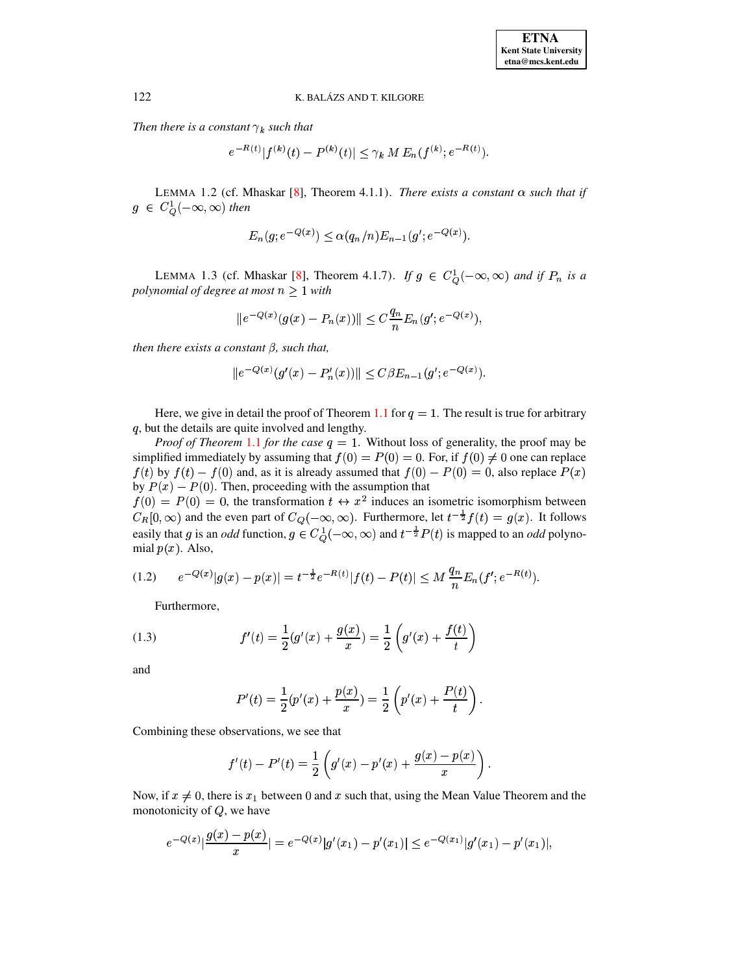*Then there is a constant*  $\gamma_k$  *such that* 

$$
e^{-R(t)}|f^{(k)}(t)-P^{(k)}(t)|\leq \gamma_k M E_n(f^{(k)};e^{-R(t)}).
$$

<span id="page-1-3"></span>LEMMA 1.2 (cf. Mhaskar [\[8\]](#page-7-1), Theorem 4.1.1). *There exists a constant*  $\alpha$  *such that if*  $g \in C^1_\Omega(-\infty,\infty)$  then

$$
E_n(g; e^{-Q(x)}) \leq \alpha(q_n/n) E_{n-1}(g'; e^{-Q(x)})
$$
.

<span id="page-1-1"></span>LEMMA 1.3 (cf. Mhaskar [\[8\]](#page-7-1), Theorem 4.1.7). *If*  $g \in C_0^1(-\infty, \infty)$  *and if*  $P_n$  *is a polynomial of degree at most*  $n \geq 1$  *with* 

$$
||e^{-Q(x)}(g(x) - P_n(x))|| \le C \frac{q_n}{n} E_n(g'; e^{-Q(x)}),
$$

*then there exists a constant*  $\beta$ *, such that,* 

$$
\|e^{-Q(x)}(g'(x)-P_n'(x))\| \leq C\beta E_{n-1}(g';e^{-Q(x)}).
$$

Here, we give in detail the proof of Theorem [1.1](#page-0-0) for  $q = 1$ . The result is true for arbitrary  $q$ , but the details are quite involved and lengthy.

*Proof of Theorem* [1.1](#page-0-0) *for the case*  $q = 1$ . Without loss of generality, the proof may be simplified immediately by assuming that  $f(0) = P(0) = 0$ . For, if  $f(0) \neq 0$  one can replace  $f(t)$  by  $f(t) - f(0)$  and, as it is already assumed that  $f(0) - P(0) = 0$ , also replace  $P(x)$ by  $P(x) - P(0)$ . Then, proceeding with the assumption that

 $f(0) = P(0) = 0$ , the transformation  $t \leftrightarrow x^2$  induces an isometric isomorphism between  $C_R[0,\infty)$  and the even part of  $C_Q(-\infty,\infty)$ . Furthermore, let  $t^{-\frac{1}{2}}f(t) = g(x)$ . It follows easily that g is an *odd* function,  $g \in C^1_Q(-\infty, \infty)$  and  $t^{-\frac{1}{2}}P(t)$  is mapped to an *odd* polynomial  $p(x)$ . Also,

<span id="page-1-0"></span>
$$
(1.2) \t e^{-Q(x)}|g(x)-p(x)|=t^{-\frac{1}{2}}e^{-R(t)}|f(t)-P(t)|\leq M\,\frac{q_n}{n}E_n(f';e^{-R(t)}).
$$

Furthermore,

<span id="page-1-2"></span>(1.3) 
$$
f'(t) = \frac{1}{2}(g'(x) + \frac{g(x)}{x}) = \frac{1}{2}\left(g'(x) + \frac{f(t)}{t}\right)
$$

and

$$
P'(t) = \frac{1}{2}(p'(x) + \frac{p(x)}{x}) = \frac{1}{2}\left(p'(x) + \frac{P(t)}{t}\right).
$$

Combining these observations, we see that

$$
f'(t)-P'(t)=\frac{1}{2}\left(g'(x)-p'(x)+\frac{g(x)-p(x)}{x}\right).
$$

Now, if  $x \neq 0$ , there is  $x_1$  between 0 and x such that, using the Mean Value Theorem and the monotonicity of  $Q$ , we have

$$
e^{-Q(x)}|\frac{g(x)-p(x)}{x}|=e^{-Q(x)}|g'(x_1)-p'(x_1)|\leq e^{-Q(x_1)}|g'(x_1)-p'(x_1)|,
$$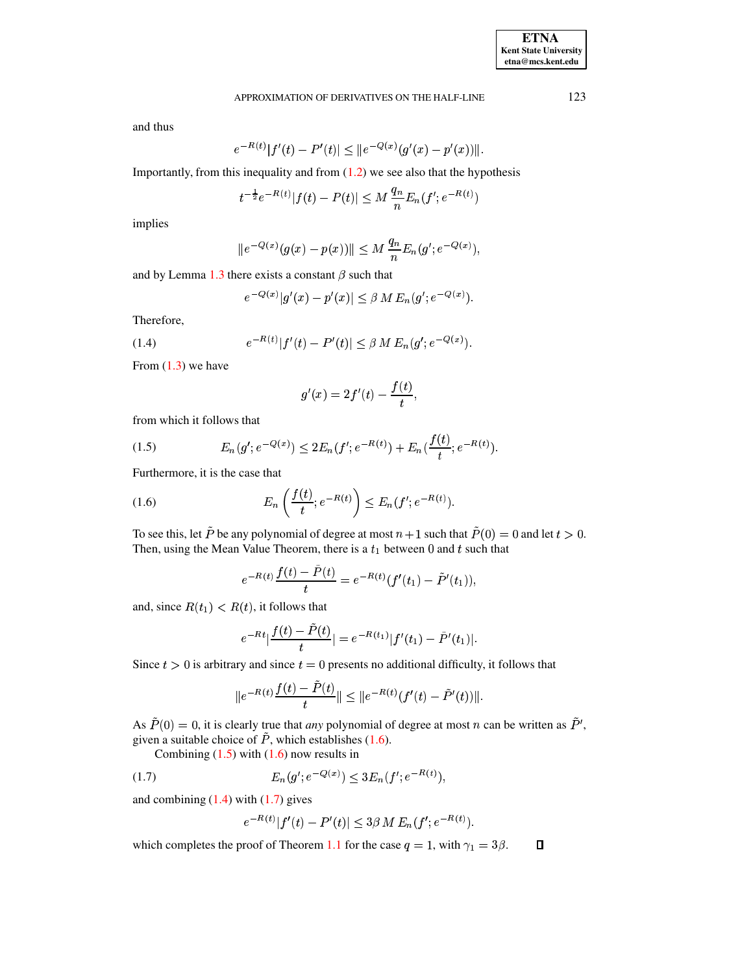# APPROXIMATION OF DERIVATIVES ON THE HALF-LINE 123

and thus

$$
e^{-R(t)}|f'(t)-P'(t)|\leq \|e^{-Q(x)}(g'(x)-p'(x))\|.
$$

Importantly, from this inequality and from  $(1.2)$  we see also that the hypothesis

$$
t^{-\frac{1}{2}}e^{-R(t)}|f(t)-P(t)|\leq M\,\frac{q_n}{n}E_n(f';e^{-R(t)})
$$

implies

$$
|e^{-Q(x)}(g(x)-p(x))\| \leq M \, \frac{q_n}{n} E_n(g';e^{-Q(x)}),
$$

and by Lemma [1.3](#page-1-1) there exists a constant  $\beta$  such that

§

$$
e^{-Q(x)}|g'(x)-p'(x)| \leq \beta M E_n(g';e^{-Q(x)}).
$$

Therefore,

<span id="page-2-2"></span>(1.4) 
$$
e^{-R(t)}|f'(t)-P'(t)| \leq \beta M E_n(g';e^{-Q(x)}).
$$

From  $(1.3)$  we have

$$
g'(x)=2f'(t)-\frac{f(t)}{t},
$$

from which it follows that

<span id="page-2-1"></span>(1.5) 
$$
E_n(g';e^{-Q(x)}) \leq 2E_n(f';e^{-R(t)}) + E_n(\frac{f(t)}{t};e^{-R(t)}).
$$

Furthermore, it is the case that

<span id="page-2-0"></span>(1.6) 
$$
E_n\left(\frac{f(t)}{t}; e^{-R(t)}\right) \le E_n(f'; e^{-R(t)}).
$$

To see this, let P be any polynomial of degree at most  $n + 1$  such that  $P(0) = 0$  and let  $t > 0$ . Then, using the Mean Value Theorem, there is a  $t_1$  between 0 and  $t$  such that

$$
e^{-R(t)}\frac{f(t)-\tilde{P}(t)}{t}=e^{-R(t)}(f'(t_1)-\tilde{P}'(t_1)),
$$

and, since  $R(t_1) < R(t)$ , it follows that

$$
e^{-Rt}|\frac{f(t)-\tilde{P}(t)}{t}|=e^{-R(t_1)}|f'(t_1)-\tilde{P}'(t_1)|.
$$

Since  $t > 0$  is arbitrary and since  $t = 0$  presents no additional difficulty, it follows that

$$
||e^{-R(t)}\frac{f(t)-\tilde{P}(t)}{t}|| \leq ||e^{-R(t)}(f'(t)-\tilde{P}'(t))||.
$$

As  $P(0) = 0$ , it is clearly true that *any* polynomial of degree at most n can be written as  $P'$ , given a suitable choice of  $\tilde{P}$ , which establishes [\(1.6\)](#page-2-0).

<span id="page-2-3"></span>Combining  $(1.5)$  with  $(1.6)$  now results in

(1.7) 
$$
E_n(g';e^{-Q(x)}) \leq 3E_n(f';e^{-R(t)}),
$$

and combining  $(1.4)$  with  $(1.7)$  gives

$$
e^{-R(t)}|f'(t)-P'(t)| \leq 3\beta M E_n(f';e^{-R(t)}).
$$

which completes the proof of Theorem [1.1](#page-0-0) for the case  $q = 1$ , with  $\gamma_1 = 3\beta$ .  $\Box$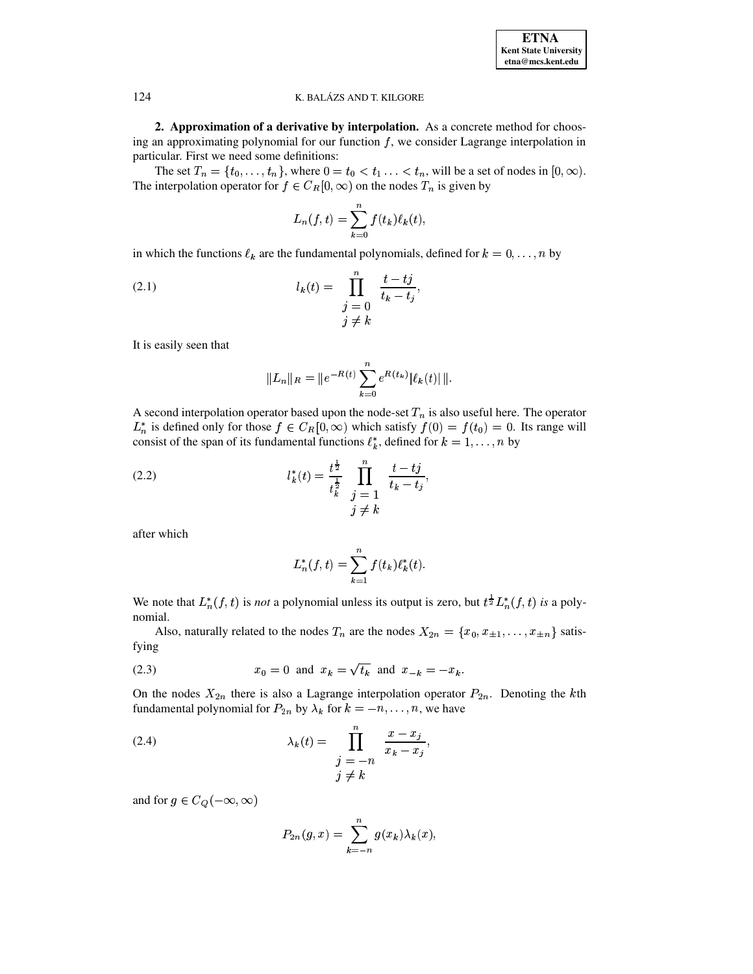**2. Approximation of a derivative by interpolation.** As a concrete method for choosing an approximating polynomial for our function  $f$ , we consider Lagrange interpolation in particular. First we need some definitions:

The set  $T_n = \{t_0, \ldots, t_n\}$ , where  $0 = t_0 < t_1 \ldots < t_n$ , will be a set of nodes in  $[0, \infty)$ . The interpolation operator for  $f \in C_R[0,\infty)$  on the nodes  $T_n$  is given by

$$
L_n(f,t) = \sum_{k=0}^n f(t_k) \ell_k(t),
$$

in which the functions  $\ell_k$  are the fundamental polynomials, defined for  $k = 0, \ldots, n$  by

<span id="page-3-1"></span>(2.1) 
$$
l_k(t) = \prod_{\substack{j=0 \ j \neq k}}^n \frac{t - tj}{t_k - t_j},
$$

It is easily seen that

$$
||L_n||_R = ||e^{-R(t)} \sum_{k=0}^n e^{R(t_k)} |\ell_k(t)| ||.
$$

A second interpolation operator based upon the node-set  $T_n$  is also useful here. The operator  $L_n^*$  is defined only for those  $f \in C_R[0, \infty)$  which satisfy  $f(0) = f(t_0) = 0$ . Its range will consist of the span of its fundamental functions  $\ell_k^*$ , defined for  $k = 1, \ldots, n$  by .<br>İ

<span id="page-3-2"></span>(2.2) 
$$
l_{k}^{*}(t) = \frac{t^{\frac{1}{2}}}{t_{k}^{\frac{1}{2}}} \prod_{\substack{j=1 \ j \neq k}}^{n} \frac{t - tj}{t_{k} - t_{j}},
$$

after which

$$
L_n^*(f,t) = \sum_{k=1}^n f(t_k) \ell_k^*(t).
$$

We note that  $L_n^*(f, t)$  is *not* a polynomial unless its output is zero, but  $t^{\frac{1}{2}}L_n^*(f, t)$  *is* a polynomial.

Also, naturally related to the nodes  $T_n$  are the nodes  $X_{2n} = \{x_0, x_{\pm 1}, \ldots, x_{\pm n}\}\$  satisfying

<span id="page-3-0"></span>(2.3) 
$$
x_0 = 0
$$
 and  $x_k = \sqrt{t_k}$  and  $x_{-k} = -x_k$ .

On the nodes  $X_{2n}$  there is also a Lagrange interpolation operator  $P_{2n}$ . Denoting the kth fundamental polynomial for  $P_{2n}$  by  $\lambda_k$  for  $k = -n, \ldots, n$ , we have

<span id="page-3-3"></span>(2.4) 
$$
\lambda_k(t) = \prod_{\substack{j=-n \\ j \neq k}}^{n} \frac{x - x_j}{x_k - x_j},
$$

and for  $g \in C_Q(-\infty, \infty)$ 

$$
P_{2n}(g,x) = \sum_{k=-n}^{n} g(x_k) \lambda_k(x),
$$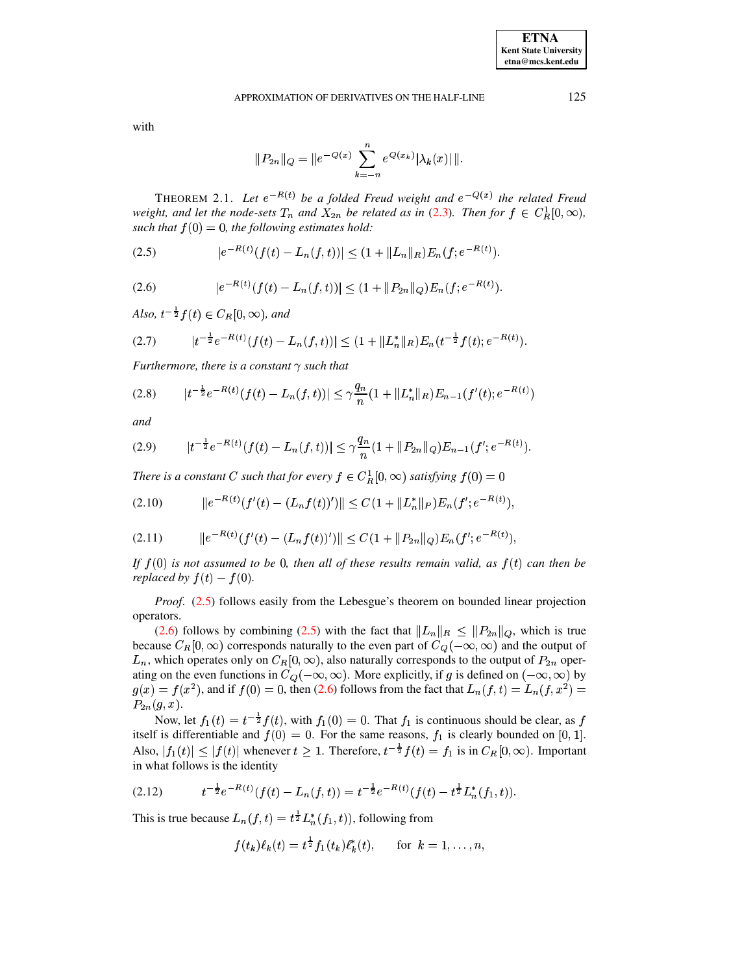#### APPROXIMATION OF DERIVATIVES ON THE HALF-LINE

with

$$
||P_{2n}||_Q = ||e^{-Q(x)} \sum_{k=-n}^n e^{Q(x_k)} |\lambda_k(x)| ||.
$$

<span id="page-4-8"></span>THEOREM 2.1. Let  $e^{-R(t)}$  be a folded Freud weight and  $e^{-Q(x)}$  the related Freud weight, and let the node-sets  $T_n$  and  $X_{2n}$  be related as in (2.3). Then for  $f \in C_R^1[0,\infty)$ , such that  $f(0) = 0$ , the following estimates hold:

<span id="page-4-0"></span>(2.5) 
$$
|e^{-R(t)}(f(t) - L_n(f,t))| \leq (1 + \|L_n\|_R)E_n(f; e^{-R(t)}).
$$

<span id="page-4-1"></span>(2.6) 
$$
|e^{-R(t)}(f(t) - L_n(f,t))| \leq (1 + ||P_{2n}||_Q)E_n(f; e^{-R(t)})
$$

Also,  $t^{-\frac{1}{2}}f(t) \in C_R[0,\infty)$ , and

<span id="page-4-2"></span>
$$
(2.7) \t\t |t^{-\frac{1}{2}}e^{-R(t)}(f(t)-L_n(f,t))| \leq (1+\|L_n^*\|_R)E_n(t^{-\frac{1}{2}}f(t);e^{-R(t)}).
$$

Furthermore, there is a constant  $\gamma$  such that

<span id="page-4-4"></span>
$$
(2.8) \t |t^{-\frac{1}{2}}e^{-R(t)}(f(t)-L_n(f,t))| \leq \gamma \frac{q_n}{n}(1+\|L_n^*\|_{R})E_{n-1}(f'(t);e^{-R(t)})
$$

and

<span id="page-4-5"></span>
$$
(2.9) \t\t |t^{-\frac{1}{2}}e^{-R(t)}(f(t)-L_n(f,t))| \leq \gamma \frac{q_n}{n}(1+\|P_{2n}\|_Q)E_{n-1}(f';e^{-R(t)}).
$$

There is a constant C such that for every  $f \in C_R^1[0,\infty)$  satisfying  $f(0) = 0$ 

<span id="page-4-6"></span>
$$
(2.10) \t ||e^{-R(t)}(f'(t) - (L_n f(t))')|| \leq C(1 + ||L_n^*||_P)E_n(f'; e^{-R(t)}),
$$

<span id="page-4-7"></span>
$$
(2.11) \t ||e^{-R(t)}(f'(t) - (L_n f(t))')|| \leq C(1 + ||P_{2n}||_Q)E_n(f'; e^{-R(t)})
$$

If  $f(0)$  is not assumed to be 0, then all of these results remain valid, as  $f(t)$  can then be replaced by  $f(t) - f(0)$ .

*Proof.* (2.5) follows easily from the Lebesgue's theorem on bounded linear projection operators.

(2.6) follows by combining (2.5) with the fact that  $||L_n||_R \leq ||P_{2n}||_Q$ , which is true because  $C_R[0,\infty)$  corresponds naturally to the even part of  $C_Q(-\infty,\infty)$  and the output of  $L_n$ , which operates only on  $C_R[0,\infty)$ , also naturally corresponds to the output of  $P_{2n}$  operating on the even functions in  $C_Q(-\infty, \infty)$ . More explicitly, if g is defined on  $(-\infty, \infty)$  by  $g(x) = f(x^2)$ , and if  $f(0) = 0$ , then (2.6) follows from the fact that  $L_n(f, t) = L_n(f, x^2)$  $P_{2n}(g, x).$ 

Now, let  $f_1(t) = t^{-\frac{1}{2}} f(t)$ , with  $f_1(0) = 0$ . That  $f_1$  is continuous should be clear, as f itself is differentiable and  $f(0) = 0$ . For the same reasons,  $f_1$  is clearly bounded on [0, 1]. Also,  $|f_1(t)| \leq |f(t)|$  whenever  $t \geq 1$ . Therefore,  $t^{-\frac{1}{2}}f(t) = f_1$  is in  $C_R[0,\infty)$ . Important in what follows is the identity

<span id="page-4-3"></span>
$$
(2.12) \t t^{-\frac{1}{2}} e^{-R(t)}(f(t) - L_n(f,t)) = t^{-\frac{1}{2}} e^{-R(t)}(f(t) - t^{\frac{1}{2}} L_n^*(f_1, t)).
$$

This is true because  $L_n(f, t) = t^{\frac{1}{2}} L_n^*(f_1, t)$ , following from

$$
f(t_k)\ell_k(t) = t^{\frac{1}{2}}f_1(t_k)\ell_k^*(t), \quad \text{for } k = 1, \ldots, n,
$$

125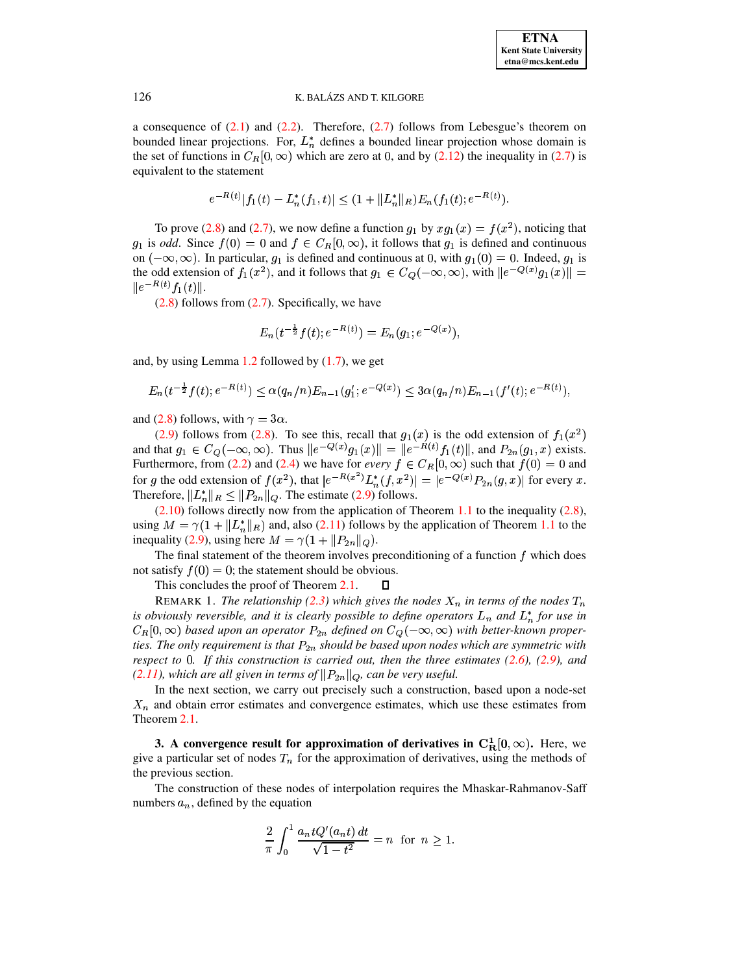a consequence of  $(2.1)$  and  $(2.2)$ . Therefore,  $(2.7)$  follows from Lebesgue's theorem on bounded linear projections. For,  $L_n^*$  defines a bounded linear projection whose domain is the set of functions in  $C_R[0,\infty)$  which are zero at 0, and by [\(2.12\)](#page-4-3) the inequality in [\(2.7\)](#page-4-2) is equivalent to the statement

$$
e^{-R(t)}|f_1(t) - L_n^*(f_1, t)| \leq (1 + \|L_n^*\|_R)E_n(f_1(t); e^{-R(t)}).
$$

To prove [\(2.8\)](#page-4-4) and [\(2.7\)](#page-4-2), we now define a function  $g_1$  by  $xg_1(x) = f(x^2)$ , noticing that  $g_1$  is *odd*. Since  $f(0) = 0$  and  $f \in C_R[0,\infty)$ , it follows that  $g_1$  is defined and continuous on  $(-\infty, \infty)$ . In particular,  $g_1$  is defined and continuous at 0, with  $g_1(0) = 0$ . Indeed,  $g_1$  is the odd extension of  $f_1(x^2)$ , and it follows that  $g_1 \in C_Q(-\infty, \infty)$ , with  $||e^{-Q(x)}g_1(x)|| =$  $||e^{-R(t)}f_1(t)||.$ 

 $(2.8)$  follows from  $(2.7)$ . Specifically, we have

$$
E_n(t^{-\frac{1}{2}}f(t);e^{-R(t)})=E_n(g_1;e^{-Q(x)}),
$$

and, by using Lemma [1.2](#page-1-3) followed by [\(1.7\)](#page-2-3), we get

$$
E_n(t^{-\frac{1}{2}}f(t);e^{-R(t)}) \leq \alpha(q_n/n)E_{n-1}(g_1';e^{-Q(x)}) \leq 3\alpha(q_n/n)E_{n-1}(f'(t);e^{-R(t)}),
$$

and [\(2.8\)](#page-4-4) follows, with  $\gamma = 3\alpha$ .

[\(2.9\)](#page-4-5) follows from [\(2.8\)](#page-4-4). To see this, recall that  $g_1(x)$  is the odd extension of  $f_1(x^2)$ and that  $g_1 \in C_Q(-\infty, \infty)$ . Thus  $||e^{-Q(x)}g_1(x)|| = ||e^{-R(t)}f_1(t)||$ , and  $P_{2n}(g_1, x)$  exists. Furthermore, from [\(2.2\)](#page-3-2) and [\(2.4\)](#page-3-3) we have for *every*  $f \in C_R[0,\infty)$  such that  $f(0) = 0$  and for g the odd extension of  $f(x^2)$ , that  $|e^{-R(x^2)} L_n^*(f, x^2)| = |e^{-Q(x)} P_{2n}(g, x)|$  for every x. Therefore,  $||L_n^*||_R \le ||P_{2n}||_Q$ . The estimate [\(2.9\)](#page-4-5) follows.

 $(2.10)$  follows directly now from the application of Theorem [1.1](#page-0-0) to the inequality  $(2.8)$ , using  $M = \gamma(1 + ||L_n^*||_R)$  and, a  $\parallel_R$ ) and, also [\(2.11\)](#page-4-7) follows by the application of Theorem [1.1](#page-0-0) to the inequality [\(2.9\)](#page-4-5), using here  $M = \gamma(1 + ||P_{2n}||_Q)$ .

The final statement of the theorem involves preconditioning of a function  $f$  which does not satisfy  $f(0) = 0$ ; the statement should be obvious.

This concludes the proof of Theorem [2.1.](#page-4-8)  $\Box$ 

REMARK 1. *The relationship* [\(2.3\)](#page-3-0) which gives the nodes  $X_n$  in terms of the nodes  $T_n$ *is obviously reversible, and it is clearly possible to define operators*  $L_n$  *and*  $L_n^*$  *for use in*  $C_R[0,\infty)$  based upon an operator  $P_{2n}$  defined on  $C_Q(-\infty,\infty)$  with better-known properwZ *ties. The only requirement is that* <sup>x</sup> *should be based upon nodes which are symmetric with* w*respect to* <sup>&</sup>lt;*. If this construction is carried out, then the three estimates [\(2.6\)](#page-4-1), [\(2.9\)](#page-4-5), and*  $(2.11)$ *, which are all given in terms of*  $\|P_{2n}\|_Q$ *, can be very useful.* 

In the next section, we carry out precisely such a construction, based upon a node-set  $X_n$  and obtain error estimates and convergence estimates, which use these estimates from Theorem [2.1.](#page-4-8)

**3.** A convergence result for approximation of derivatives in  $C_R^1[0, \infty)$ . Here, we give a particular set of nodes  $T<sub>n</sub>$  for the approximation of derivatives, using the methods of the previous section.

The construction of these nodes of interpolation requires the Mhaskar-Rahmanov-Saff numbers  $a_n$ , defined by the equation

$$
\frac{2}{\pi} \int_0^1 \frac{a_n t Q'(a_n t) dt}{\sqrt{1 - t^2}} = n \text{ for } n \ge 1.
$$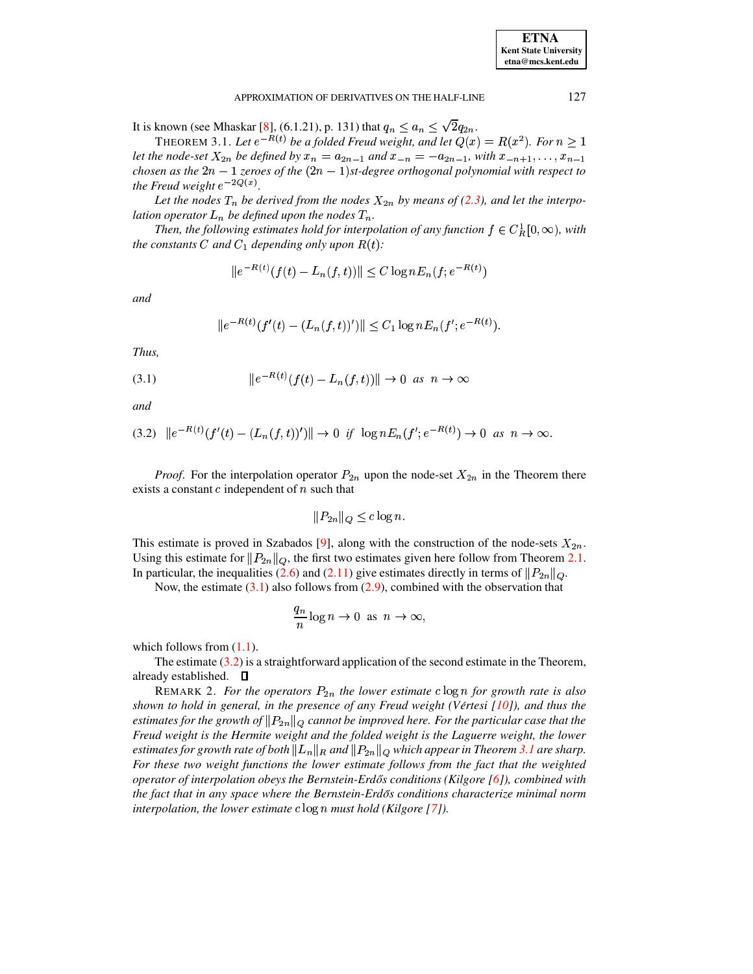#### APPROXIMATION OF DERIVATIVES ON THE HALF-LINE

<span id="page-6-2"></span>It is known (see Mhaskar [8], (6.1.21), p. 131) that  $q_n \le a_n \le \sqrt{2q_{2n}}$ .

THEOREM 3.1. Let  $e^{-R(t)}$  be a folded Freud weight, and let  $Q(x) = R(x^2)$ . For  $n \ge 1$ let the node-set  $X_{2n}$  be defined by  $x_n = a_{2n-1}$  and  $x_{-n} = -a_{2n-1}$ , with  $x_{-n+1}, \ldots, x_{n-1}$ chosen as the  $2n-1$  zeroes of the  $(2n-1)$ st-degree orthogonal polynomial with respect to the Freud weight  $e^{-2Q(x)}$ .

Let the nodes  $T_n$  be derived from the nodes  $X_{2n}$  by means of (2.3), and let the interpolation operator  $L_n$  be defined upon the nodes  $T_n$ .

Then, the following estimates hold for interpolation of any function  $f \in C_R^1[0,\infty)$ , with the constants C and  $C_1$  depending only upon  $R(t)$ :

$$
||e^{-R(t)}(f(t) - L_n(f, t))|| \le C \log n E_n(f; e^{-R(t)})
$$

and

$$
||e^{-R(t)}(f'(t) - (L_n(f,t))')|| \leq C_1 \log n E_n(f'; e^{-R(t)}).
$$

Thus,

<span id="page-6-0"></span>(3.1) 
$$
||e^{-R(t)}(f(t) - L_n(f,t))|| \to 0 \text{ as } n \to \infty
$$

and

<span id="page-6-1"></span>
$$
(3.2) \quad ||e^{-R(t)}(f'(t) - (L_n(f, t))')|| \to 0 \quad \text{if} \quad \log n E_n(f'; e^{-R(t)}) \to 0 \quad \text{as} \quad n \to \infty.
$$

*Proof.* For the interpolation operator  $P_{2n}$  upon the node-set  $X_{2n}$  in the Theorem there exists a constant  $c$  independent of  $n$  such that

$$
||P_{2n}||_Q \leq c \log n.
$$

This estimate is proved in Szabados [9], along with the construction of the node-sets  $X_{2n}$ . Using this estimate for  $||P_{2n}||_Q$ , the first two estimates given here follow from Theorem 2.1. In particular, the inequalities (2.6) and (2.11) give estimates directly in terms of  $||P_{2n}||_Q$ .

Now, the estimate  $(3.1)$  also follows from  $(2.9)$ , combined with the observation that

$$
\frac{q_n}{n}\log n \to 0 \text{ as } n \to \infty,
$$

which follows from  $(1.1)$ .

The estimate  $(3.2)$  is a straightforward application of the second estimate in the Theorem, already established.  $\square$ 

REMARK 2. For the operators  $P_{2n}$  the lower estimate clog n for growth rate is also shown to hold in general, in the presence of any Freud weight (Vértesi  $[10]$ ), and thus the estimates for the growth of  $||P_{2n}||_Q$  cannot be improved here. For the particular case that the Freud weight is the Hermite weight and the folded weight is the Laguerre weight, the lower estimates for growth rate of both  $||L_n||_R$  and  $||P_{2n}||_Q$  which appear in Theorem 3.1 are sharp. For these two weight functions the lower estimate follows from the fact that the weighted operator of interpolation obeys the Bernstein-Erdős conditions (Kilgore [6]), combined with the fact that in any space where the Bernstein-Erdős conditions characterize minimal norm interpolation, the lower estimate  $c \log n$  must hold (Kilgore [7]).

127